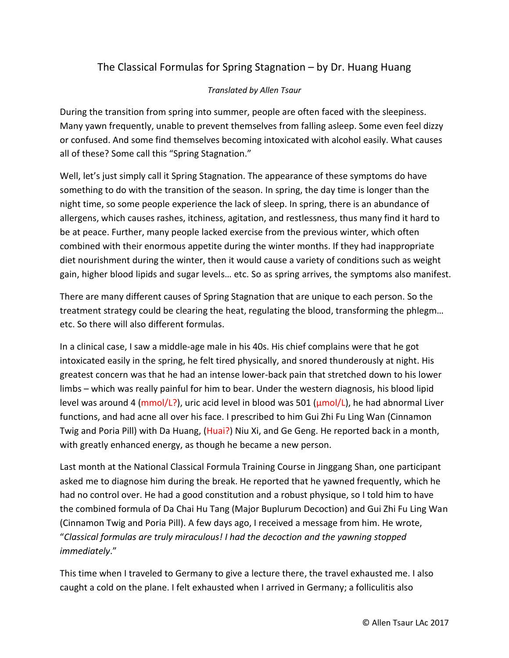## The Classical Formulas for Spring Stagnation – by Dr. Huang Huang

## *Translated by Allen Tsaur*

During the transition from spring into summer, people are often faced with the sleepiness. Many yawn frequently, unable to prevent themselves from falling asleep. Some even feel dizzy or confused. And some find themselves becoming intoxicated with alcohol easily. What causes all of these? Some call this "Spring Stagnation."

Well, let's just simply call it Spring Stagnation. The appearance of these symptoms do have something to do with the transition of the season. In spring, the day time is longer than the night time, so some people experience the lack of sleep. In spring, there is an abundance of allergens, which causes rashes, itchiness, agitation, and restlessness, thus many find it hard to be at peace. Further, many people lacked exercise from the previous winter, which often combined with their enormous appetite during the winter months. If they had inappropriate diet nourishment during the winter, then it would cause a variety of conditions such as weight gain, higher blood lipids and sugar levels… etc. So as spring arrives, the symptoms also manifest.

There are many different causes of Spring Stagnation that are unique to each person. So the treatment strategy could be clearing the heat, regulating the blood, transforming the phlegm… etc. So there will also different formulas.

In a clinical case, I saw a middle-age male in his 40s. His chief complains were that he got intoxicated easily in the spring, he felt tired physically, and snored thunderously at night. His greatest concern was that he had an intense lower-back pain that stretched down to his lower limbs – which was really painful for him to bear. Under the western diagnosis, his blood lipid level was around 4 ( $mmol/L$ ?), uric acid level in blood was 501 ( $\mu mol/L$ ), he had abnormal Liver functions, and had acne all over his face. I prescribed to him Gui Zhi Fu Ling Wan (Cinnamon Twig and Poria Pill) with Da Huang, (Huai?) Niu Xi, and Ge Geng. He reported back in a month, with greatly enhanced energy, as though he became a new person.

Last month at the National Classical Formula Training Course in Jinggang Shan, one participant asked me to diagnose him during the break. He reported that he yawned frequently, which he had no control over. He had a good constitution and a robust physique, so I told him to have the combined formula of Da Chai Hu Tang (Major Buplurum Decoction) and Gui Zhi Fu Ling Wan (Cinnamon Twig and Poria Pill). A few days ago, I received a message from him. He wrote, "*Classical formulas are truly miraculous! I had the decoction and the yawning stopped immediately*."

This time when I traveled to Germany to give a lecture there, the travel exhausted me. I also caught a cold on the plane. I felt exhausted when I arrived in Germany; a folliculitis also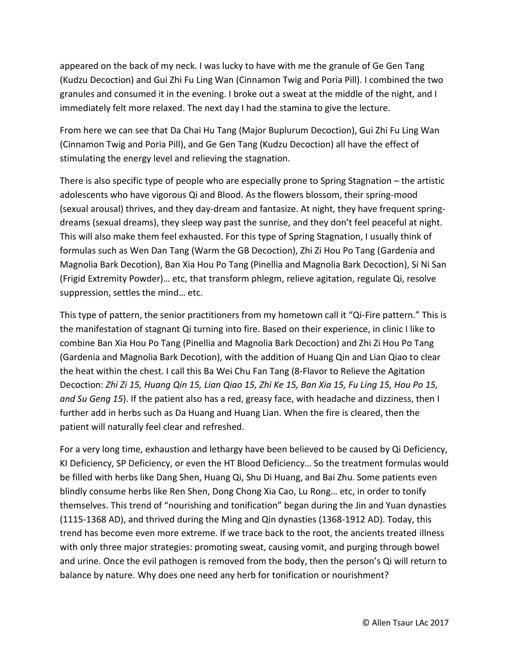appeared on the back of my neck. I was lucky to have with me the granule of Ge Gen Tang (Kudzu Decoction) and Gui Zhi Fu Ling Wan (Cinnamon Twig and Poria Pill). I combined the two granules and consumed it in the evening. I broke out a sweat at the middle of the night, and I immediately felt more relaxed. The next day I had the stamina to give the lecture.

From here we can see that Da Chai Hu Tang (Major Buplurum Decoction), Gui Zhi Fu Ling Wan (Cinnamon Twig and Poria Pill), and Ge Gen Tang (Kudzu Decoction) all have the effect of stimulating the energy level and relieving the stagnation.

There is also specific type of people who are especially prone to Spring Stagnation – the artistic adolescents who have vigorous Qi and Blood. As the flowers blossom, their spring-mood (sexual arousal) thrives, and they day-dream and fantasize. At night, they have frequent springdreams (sexual dreams), they sleep way past the sunrise, and they don't feel peaceful at night. This will also make them feel exhausted. For this type of Spring Stagnation, I usually think of formulas such as Wen Dan Tang (Warm the GB Decoction), Zhi Zi Hou Po Tang (Gardenia and Magnolia Bark Decotion), Ban Xia Hou Po Tang (Pinellia and Magnolia Bark Decoction), Si Ni San (Frigid Extremity Powder)… etc, that transform phlegm, relieve agitation, regulate Qi, resolve suppression, settles the mind… etc.

This type of pattern, the senior practitioners from my hometown call it "Qi-Fire pattern." This is the manifestation of stagnant Qi turning into fire. Based on their experience, in clinic I like to combine Ban Xia Hou Po Tang (Pinellia and Magnolia Bark Decoction) and Zhi Zi Hou Po Tang (Gardenia and Magnolia Bark Decotion), with the addition of Huang Qin and Lian Qiao to clear the heat within the chest. I call this Ba Wei Chu Fan Tang (8-Flavor to Relieve the Agitation Decoction: *Zhi Zi 15, Huang Qin 15, Lian Qiao 15, Zhi Ke 15, Ban Xia 15, Fu Ling 15, Hou Po 15, and Su Geng 15*). If the patient also has a red, greasy face, with headache and dizziness, then I further add in herbs such as Da Huang and Huang Lian. When the fire is cleared, then the patient will naturally feel clear and refreshed.

For a very long time, exhaustion and lethargy have been believed to be caused by Qi Deficiency, KI Deficiency, SP Deficiency, or even the HT Blood Deficiency… So the treatment formulas would be filled with herbs like Dang Shen, Huang Qi, Shu Di Huang, and Bai Zhu. Some patients even blindly consume herbs like Ren Shen, Dong Chong Xia Cao, Lu Rong… etc, in order to tonify themselves. This trend of "nourishing and tonification" began during the Jin and Yuan dynasties (1115-1368 AD), and thrived during the Ming and Qin dynasties (1368-1912 AD). Today, this trend has become even more extreme. If we trace back to the root, the ancients treated illness with only three major strategies: promoting sweat, causing vomit, and purging through bowel and urine. Once the evil pathogen is removed from the body, then the person's Qi will return to balance by nature. Why does one need any herb for tonification or nourishment?